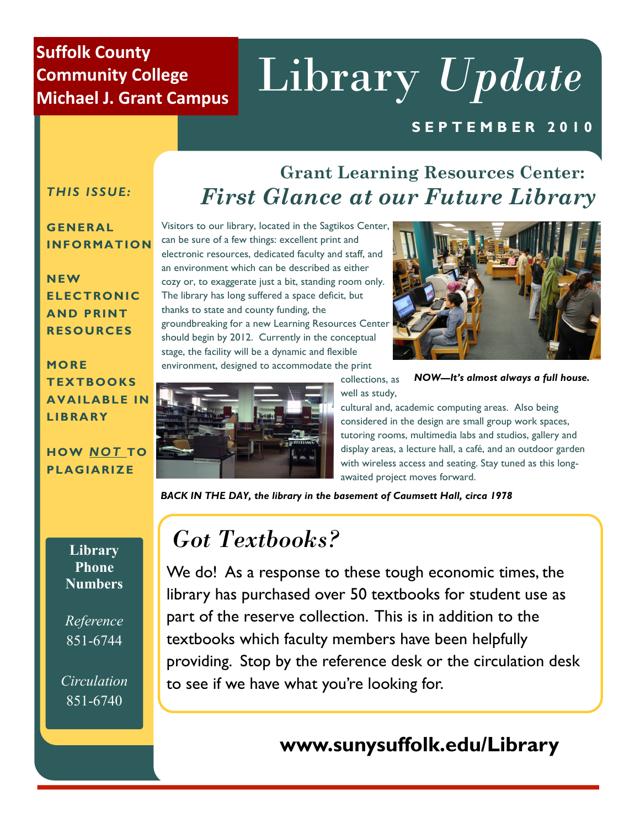## **Suffolk County Community College Michael J. Grant Campus**

# Library *Update*

## **S E P T E M B E R 2 0 1 0**

### *THIS ISSUE:*

#### **G ENERAL INFORMATION**

**N EW ELEC TRONIC AND PRINT RESOURCES**

## **MO RE T EX TBOOKS AVAILABLE IN LIBRA RY**

#### **HOW** *NOT* **TO PLAGIARIZE**

**Library Phone Numbers**

*Reference*  851-6744

*Circulation* 851-6740

# **Grant Learning Resources Center:**  *First Glance at our Future Library*

Visitors to our library, located in the Sagtikos Center, can be sure of a few things: excellent print and electronic resources, dedicated faculty and staff, and an environment which can be described as either cozy or, to exaggerate just a bit, standing room only. The library has long suffered a space deficit, but thanks to state and county funding, the groundbreaking for a new Learning Resources Center should begin by 2012. Currently in the conceptual stage, the facility will be a dynamic and flexible environment, designed to accommodate the print





collections, as well as study, *NOW—It's almost always a full house.*

cultural and, academic computing areas. Also being considered in the design are small group work spaces, tutoring rooms, multimedia labs and studios, gallery and display areas, a lecture hall, a café, and an outdoor garden with wireless access and seating. Stay tuned as this longawaited project moves forward.

*BACK IN THE DAY, the library in the basement of Caumsett Hall, circa 1978*

# Got Textbooks? *Got Textbooks?*

reposed over  $50$  to these for student use as library has purchased over 50 textbooks for student use as library has purchased over 50 textbooks for student use as part of the reserve collection. This is in addition to the part of the reserve collection. This is in addition to the textbooks which faculty members have been helpfully textbooks which faculty members have been helpfully provide the reference desk or the circulation desk providing. Stop by the reference desk or the circulation desk We do! As a response to these tough economic times, the to see if we have what you're looking for.

# **www.sunysuffolk.edu/Library**